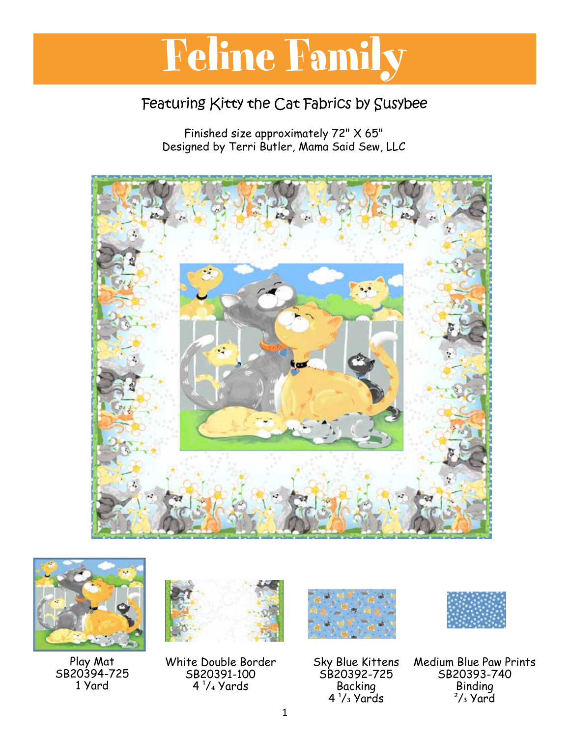## Feline Family **Kittle Family the Category of Science And The Category of The Category of The Category of The Category of The Category of The Category of The Category of The Category of The Category of The Category of The Category of The**

#### Featuring Kitty the Cat Fabrics by Susybee

Finished size approximately 72" X 65" Designed by Terri Butler, Mama Said Sew, LLC





Play Mat SB20394-725 1 Yard



White Double Border SB20391-100  $4\frac{1}{4}$  Yards



Sky Blue Kittens SB20392-725 Backing  $4\frac{1}{3}$  Yards



Medium Blue Paw Prints SB20393-740 Binding  $\frac{2}{3}$  Yard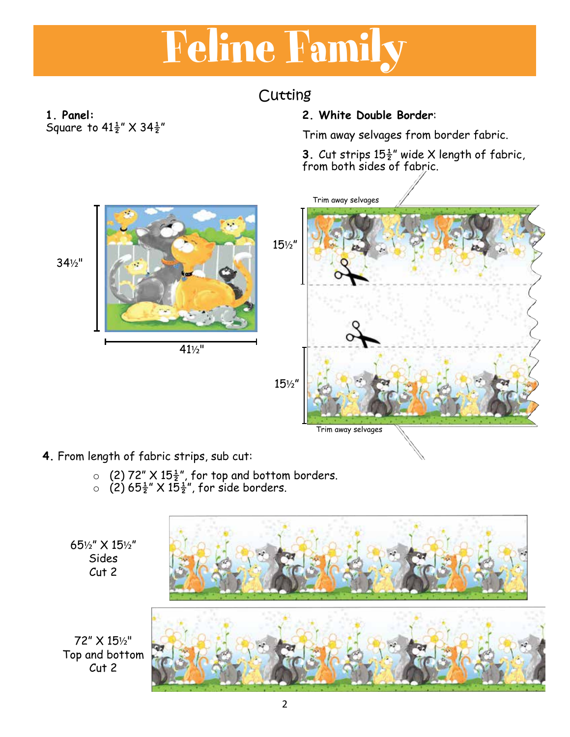# **Cutting** Feline Family

### Cutting

**1. Panel:** Square to  $41\frac{1}{2}$ " X  $34\frac{1}{2}$ "

#### **2. White Double Border**:

Trim away selvages from border fabric.

**3**. Cut strips  $15\frac{1}{2}$ " wide X length of fabric, from both sides of fabric.



- **4.** From length of fabric strips, sub cut:
	- $\circ$  (2) 72" X 15 $\frac{1}{2}$ ", for top and bottom borders.
	- $\circ$  (2) 65 $\frac{1}{2}$ " X 15 $\frac{1}{2}$ ", for side borders.

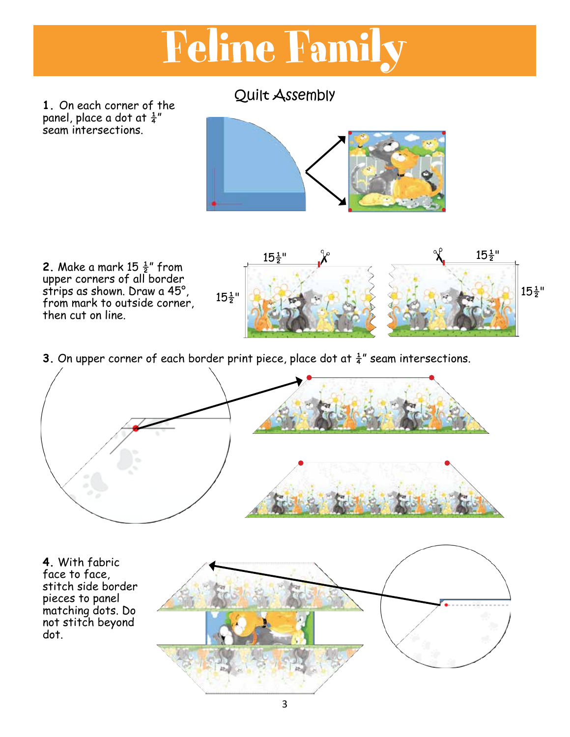

**1.** On each corner of the panel, place a dot at  $\frac{1}{4}$ " seam intersections.



**2.** Make a mark 15 ½" from upper corners of all border strips as shown. Draw a 45°, from mark to outside corner, then cut on line.



**3.** On upper corner of each border print piece, place dot at  $\frac{1}{4}$ " seam intersections.



**4.** With fabric face to face, stitch side border pieces to panel matching dots. Do not stitch beyond dot.